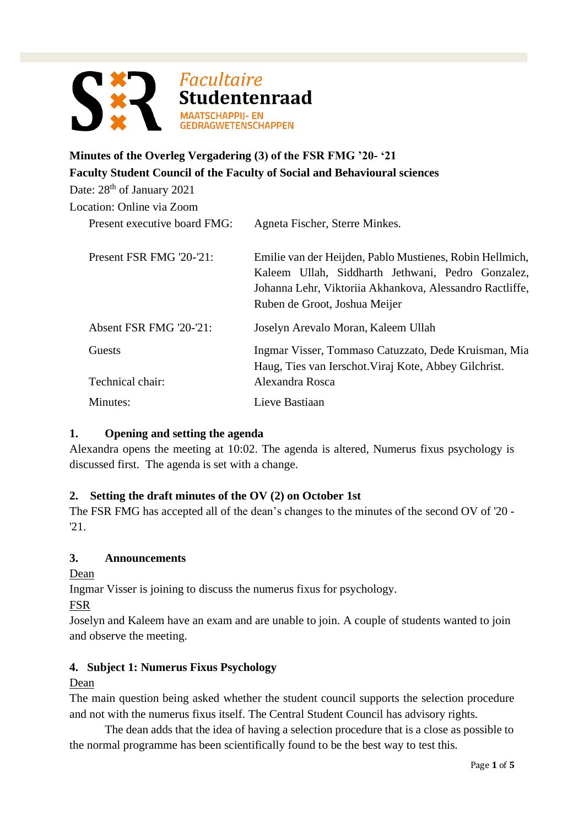

# **Minutes of the Overleg Vergadering (3) of the FSR FMG '20- '21 Faculty Student Council of the Faculty of Social and Behavioural sciences**

Date: 28<sup>th</sup> of January 2021 Location: Online via Zoom Present executive board FMG: Agneta Fischer, Sterre Minkes. Present FSR FMG '20-'21: Emilie van der Heijden, Pablo Mustienes, Robin Hellmich, Kaleem Ullah, Siddharth Jethwani, Pedro Gonzalez, Johanna Lehr, Viktoriia Akhankova, Alessandro Ractliffe, Ruben de Groot, Joshua Meijer Absent FSR FMG '20-'21: Joselyn Arevalo Moran, Kaleem Ullah Guests Ingmar Visser, Tommaso Catuzzato, Dede Kruisman, Mia Haug, Ties van Ierschot.Viraj Kote, Abbey Gilchrist. Technical chair: Alexandra Rosca Minutes: Lieve Bastiaan

## **1. Opening and setting the agenda**

Alexandra opens the meeting at 10:02. The agenda is altered, Numerus fixus psychology is discussed first. The agenda is set with a change.

### **2. Setting the draft minutes of the OV (2) on October 1st**

The FSR FMG has accepted all of the dean's changes to the minutes of the second OV of '20 - '21.

### **3. Announcements**

Dean

Ingmar Visser is joining to discuss the numerus fixus for psychology.

FSR

Joselyn and Kaleem have an exam and are unable to join. A couple of students wanted to join and observe the meeting.

## **4. Subject 1: Numerus Fixus Psychology**

Dean

The main question being asked whether the student council supports the selection procedure and not with the numerus fixus itself. The Central Student Council has advisory rights.

The dean adds that the idea of having a selection procedure that is a close as possible to the normal programme has been scientifically found to be the best way to test this.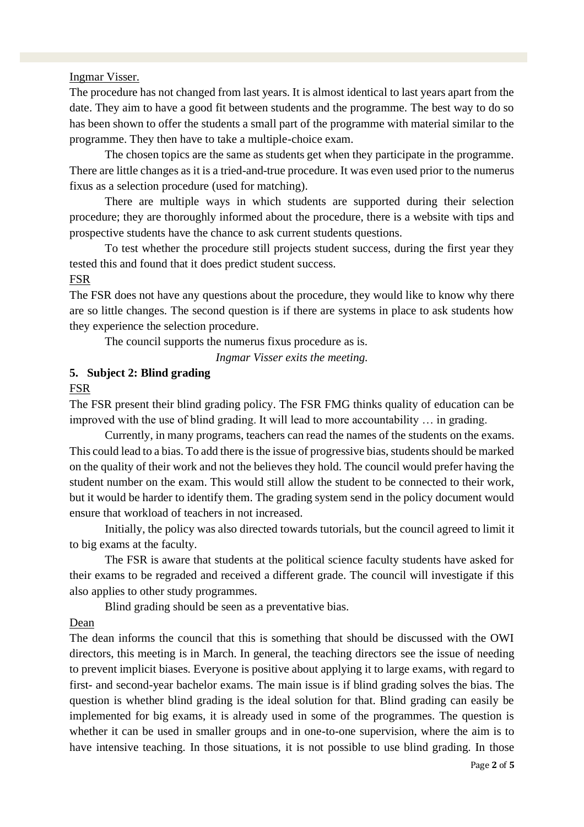#### Ingmar Visser.

The procedure has not changed from last years. It is almost identical to last years apart from the date. They aim to have a good fit between students and the programme. The best way to do so has been shown to offer the students a small part of the programme with material similar to the programme. They then have to take a multiple-choice exam.

The chosen topics are the same as students get when they participate in the programme. There are little changes as it is a tried-and-true procedure. It was even used prior to the numerus fixus as a selection procedure (used for matching).

There are multiple ways in which students are supported during their selection procedure; they are thoroughly informed about the procedure, there is a website with tips and prospective students have the chance to ask current students questions.

To test whether the procedure still projects student success, during the first year they tested this and found that it does predict student success.

#### FSR

The FSR does not have any questions about the procedure, they would like to know why there are so little changes. The second question is if there are systems in place to ask students how they experience the selection procedure.

The council supports the numerus fixus procedure as is.

*Ingmar Visser exits the meeting.*

### **5. Subject 2: Blind grading**

#### FSR

The FSR present their blind grading policy. The FSR FMG thinks quality of education can be improved with the use of blind grading. It will lead to more accountability … in grading.

Currently, in many programs, teachers can read the names of the students on the exams. This could lead to a bias. To add there is the issue of progressive bias, students should be marked on the quality of their work and not the believes they hold. The council would prefer having the student number on the exam. This would still allow the student to be connected to their work, but it would be harder to identify them. The grading system send in the policy document would ensure that workload of teachers in not increased.

Initially, the policy was also directed towards tutorials, but the council agreed to limit it to big exams at the faculty.

The FSR is aware that students at the political science faculty students have asked for their exams to be regraded and received a different grade. The council will investigate if this also applies to other study programmes.

Blind grading should be seen as a preventative bias.

#### Dean

The dean informs the council that this is something that should be discussed with the OWI directors, this meeting is in March. In general, the teaching directors see the issue of needing to prevent implicit biases. Everyone is positive about applying it to large exams, with regard to first- and second-year bachelor exams. The main issue is if blind grading solves the bias. The question is whether blind grading is the ideal solution for that. Blind grading can easily be implemented for big exams, it is already used in some of the programmes. The question is whether it can be used in smaller groups and in one-to-one supervision, where the aim is to have intensive teaching. In those situations, it is not possible to use blind grading. In those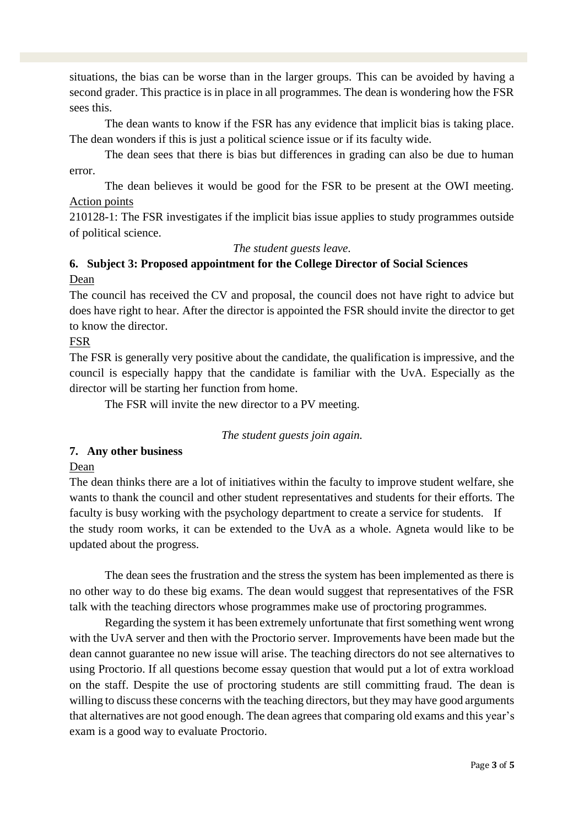situations, the bias can be worse than in the larger groups. This can be avoided by having a second grader. This practice is in place in all programmes. The dean is wondering how the FSR sees this.

The dean wants to know if the FSR has any evidence that implicit bias is taking place. The dean wonders if this is just a political science issue or if its faculty wide.

The dean sees that there is bias but differences in grading can also be due to human error.

The dean believes it would be good for the FSR to be present at the OWI meeting. Action points

210128-1: The FSR investigates if the implicit bias issue applies to study programmes outside of political science.

*The student guests leave.*

### **6. Subject 3: Proposed appointment for the College Director of Social Sciences** Dean

The council has received the CV and proposal, the council does not have right to advice but does have right to hear. After the director is appointed the FSR should invite the director to get to know the director.

### FSR

The FSR is generally very positive about the candidate, the qualification is impressive, and the council is especially happy that the candidate is familiar with the UvA. Especially as the director will be starting her function from home.

The FSR will invite the new director to a PV meeting.

### *The student guests join again.*

### **7. Any other business**

Dean

The dean thinks there are a lot of initiatives within the faculty to improve student welfare, she wants to thank the council and other student representatives and students for their efforts. The faculty is busy working with the psychology department to create a service for students. If the study room works, it can be extended to the UvA as a whole. Agneta would like to be updated about the progress.

The dean sees the frustration and the stress the system has been implemented as there is no other way to do these big exams. The dean would suggest that representatives of the FSR talk with the teaching directors whose programmes make use of proctoring programmes.

Regarding the system it has been extremely unfortunate that first something went wrong with the UvA server and then with the Proctorio server. Improvements have been made but the dean cannot guarantee no new issue will arise. The teaching directors do not see alternatives to using Proctorio. If all questions become essay question that would put a lot of extra workload on the staff. Despite the use of proctoring students are still committing fraud. The dean is willing to discuss these concerns with the teaching directors, but they may have good arguments that alternatives are not good enough. The dean agrees that comparing old exams and this year's exam is a good way to evaluate Proctorio.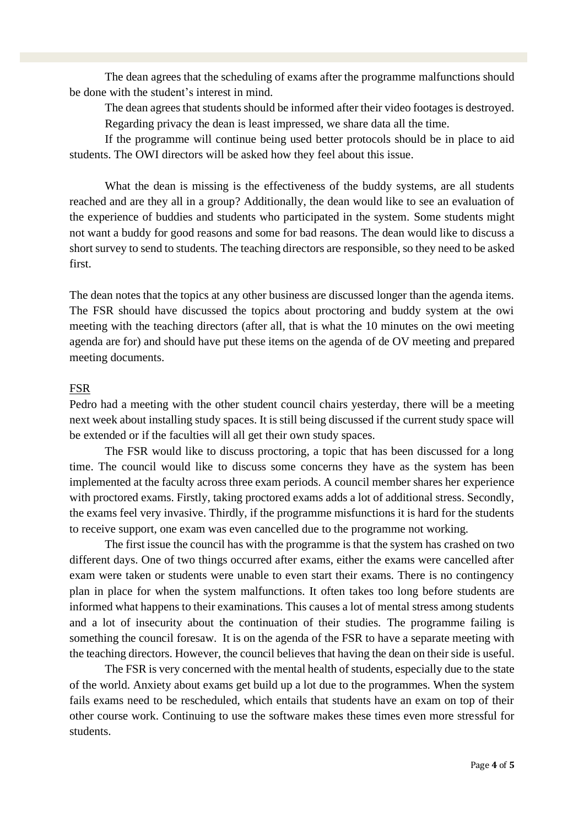The dean agrees that the scheduling of exams after the programme malfunctions should be done with the student's interest in mind.

The dean agrees that students should be informed after their video footages is destroyed.

Regarding privacy the dean is least impressed, we share data all the time.

If the programme will continue being used better protocols should be in place to aid students. The OWI directors will be asked how they feel about this issue.

What the dean is missing is the effectiveness of the buddy systems, are all students reached and are they all in a group? Additionally, the dean would like to see an evaluation of the experience of buddies and students who participated in the system. Some students might not want a buddy for good reasons and some for bad reasons. The dean would like to discuss a short survey to send to students. The teaching directors are responsible, so they need to be asked first.

The dean notes that the topics at any other business are discussed longer than the agenda items. The FSR should have discussed the topics about proctoring and buddy system at the owi meeting with the teaching directors (after all, that is what the 10 minutes on the owi meeting agenda are for) and should have put these items on the agenda of de OV meeting and prepared meeting documents.

### FSR

Pedro had a meeting with the other student council chairs yesterday, there will be a meeting next week about installing study spaces. It is still being discussed if the current study space will be extended or if the faculties will all get their own study spaces.

The FSR would like to discuss proctoring, a topic that has been discussed for a long time. The council would like to discuss some concerns they have as the system has been implemented at the faculty across three exam periods. A council member shares her experience with proctored exams. Firstly, taking proctored exams adds a lot of additional stress. Secondly, the exams feel very invasive. Thirdly, if the programme misfunctions it is hard for the students to receive support, one exam was even cancelled due to the programme not working.

The first issue the council has with the programme is that the system has crashed on two different days. One of two things occurred after exams, either the exams were cancelled after exam were taken or students were unable to even start their exams. There is no contingency plan in place for when the system malfunctions. It often takes too long before students are informed what happens to their examinations. This causes a lot of mental stress among students and a lot of insecurity about the continuation of their studies. The programme failing is something the council foresaw. It is on the agenda of the FSR to have a separate meeting with the teaching directors. However, the council believes that having the dean on their side is useful.

The FSR is very concerned with the mental health of students, especially due to the state of the world. Anxiety about exams get build up a lot due to the programmes. When the system fails exams need to be rescheduled, which entails that students have an exam on top of their other course work. Continuing to use the software makes these times even more stressful for students.